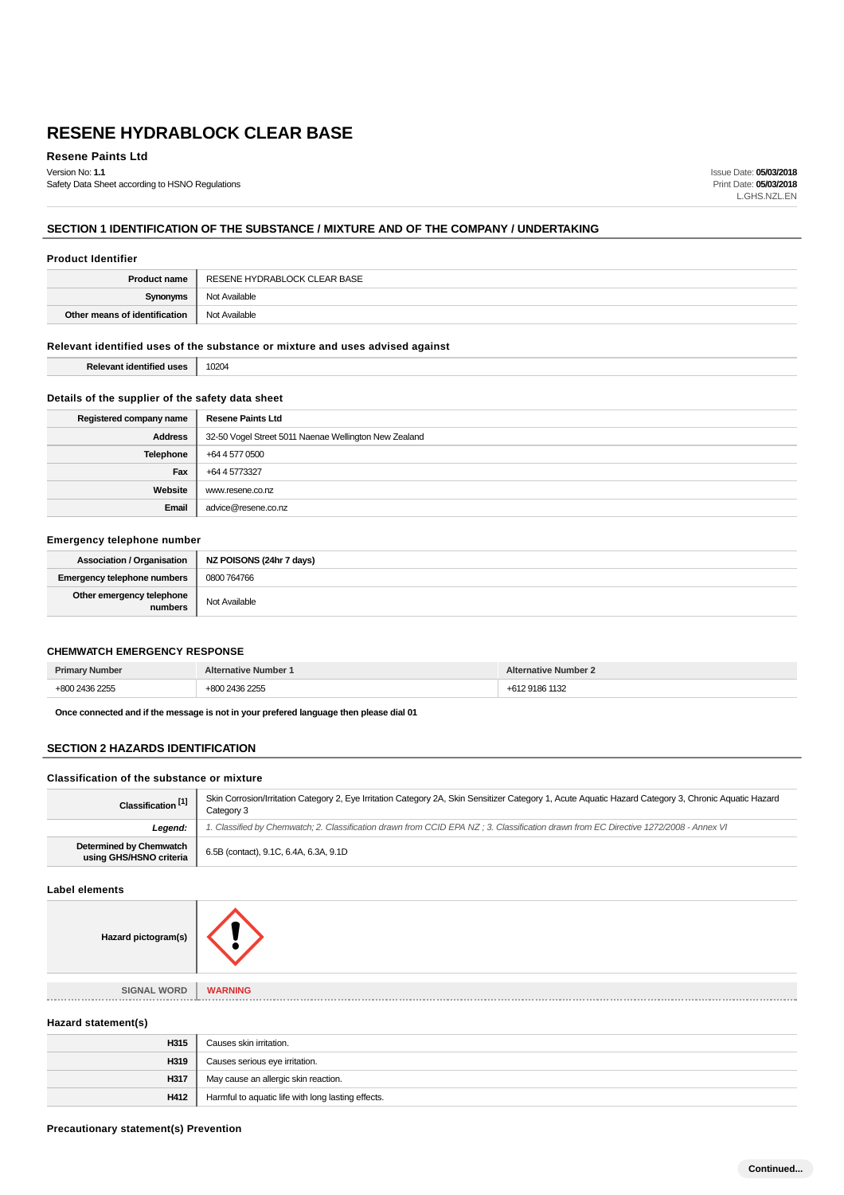**Resene Paints Ltd** Version No: **1.1**

Safety Data Sheet according to HSNO Regulations

Issue Date: **05/03/2018** Print Date: **05/03/2018** L.GHS.NZL.EN

# **SECTION 1 IDENTIFICATION OF THE SUBSTANCE / MIXTURE AND OF THE COMPANY / UNDERTAKING**

#### **Product Identifier**

| <b>Product name</b>           | RESENE HYDRABLOCK CLEAR BASE |
|-------------------------------|------------------------------|
| Svnonvms                      | Not Available                |
| Other means of identification | Not Available                |

#### **Relevant identified uses of the substance or mixture and uses advised against**

**Relevant identified uses** 10204

## **Details of the supplier of the safety data sheet**

| Registered company name | <b>Resene Paints Ltd</b>                              |
|-------------------------|-------------------------------------------------------|
| <b>Address</b>          | 32-50 Vogel Street 5011 Naenae Wellington New Zealand |
| Telephone               | +64 4 577 0500                                        |
| Fax                     | +64 4 5773327                                         |
| Website                 | www.resene.co.nz                                      |
| Email                   | advice@resene.co.nz                                   |

## **Emergency telephone number**

| Association / Organisation   NZ POISONS (24hr 7 days) |               |
|-------------------------------------------------------|---------------|
| <b>Emergency telephone numbers</b>                    | 0800 764766   |
| Other emergency telephone<br>numbers                  | Not Available |

## **CHEMWATCH EMERGENCY RESPONSE**

| Prim.<br>. | lumber<br>.ative | Number |
|------------|------------------|--------|
|            | $\Omega$         |        |

**Once connected and if the message is not in your prefered language then please dial 01**

## **SECTION 2 HAZARDS IDENTIFICATION**

## **Classification of the substance or mixture**

| Classification <sup>[1]</sup>                      | Skin Corrosion/Irritation Category 2, Eye Irritation Category 2A, Skin Sensitizer Category 1, Acute Aquatic Hazard Category 3, Chronic Aquatic Hazard<br>Category 3 |
|----------------------------------------------------|---------------------------------------------------------------------------------------------------------------------------------------------------------------------|
| Leaend:                                            | 1. Classified by Chemwatch; 2. Classification drawn from CCID EPA NZ; 3. Classification drawn from EC Directive 1272/2008 - Annex VI                                |
| Determined by Chemwatch<br>using GHS/HSNO criteria | 6.5B (contact), 9.1C, 6.4A, 6.3A, 9.1D                                                                                                                              |

#### **Label elements**

| Hazard pictogram(s) |                |
|---------------------|----------------|
| <b>SIGNAL WORD</b>  | <b>WARNING</b> |

#### **Hazard statement(s)**

| H315 | Causes skin irritation.                            |
|------|----------------------------------------------------|
| H319 | Causes serious eye irritation.                     |
| H317 | May cause an allergic skin reaction.               |
| H412 | Harmful to aquatic life with long lasting effects. |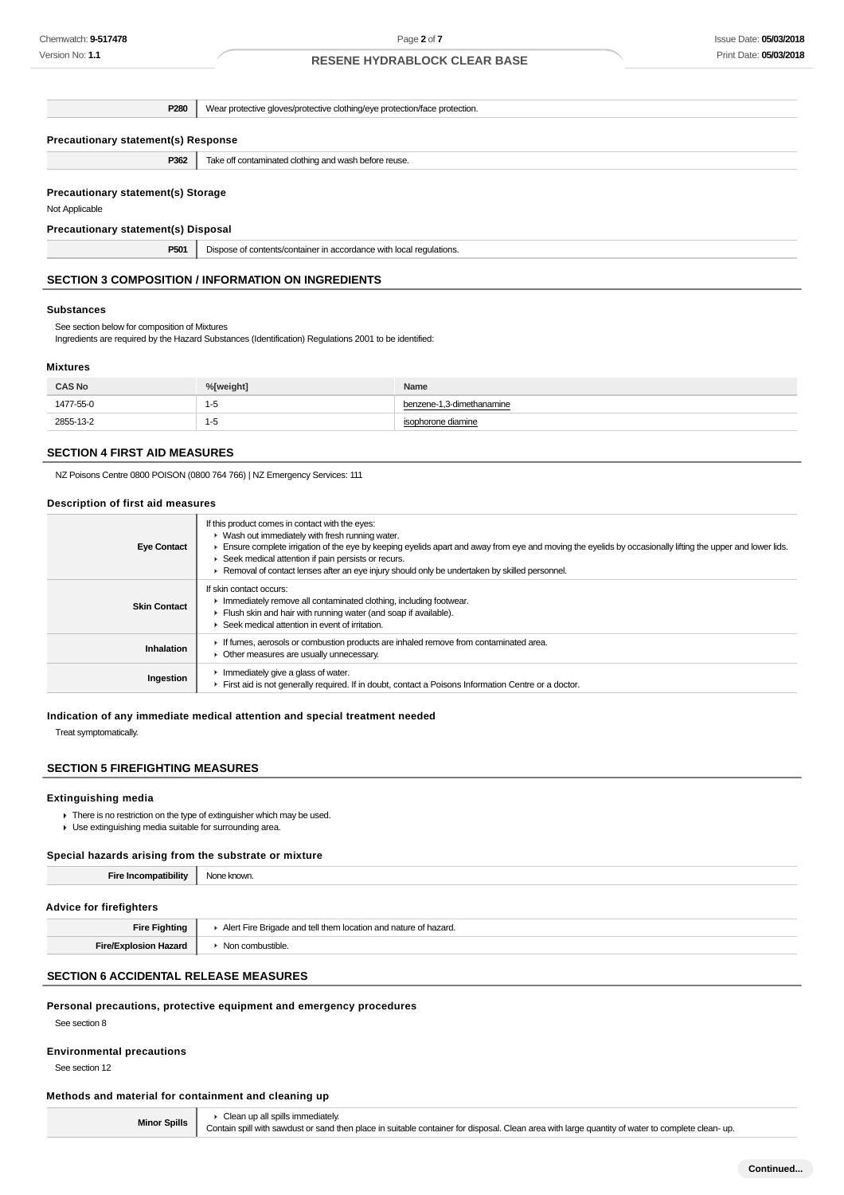| P280                                                        | Wear protective gloves/protective clothing/eye protection/face protection. |  |
|-------------------------------------------------------------|----------------------------------------------------------------------------|--|
| <b>Precautionary statement(s) Response</b>                  |                                                                            |  |
| P362                                                        | Take off contaminated clothing and wash before reuse.                      |  |
| <b>Precautionary statement(s) Storage</b><br>Not Applicable |                                                                            |  |
| Precautionary statement(s) Disposal                         |                                                                            |  |
| P501                                                        | Dispose of contents/container in accordance with local regulations.        |  |

# **SECTION 3 COMPOSITION / INFORMATION ON INGREDIENTS**

#### **Substances**

See section below for composition of Mixtures

Ingredients are required by the Hazard Substances (Identification) Regulations 2001 to be identified:

## **Mixtures**

| <b>CAS No</b> | %[weight] | Name                      |
|---------------|-----------|---------------------------|
| 1477-55-0     | כ-ו       | benzene-1,3-dimethanamine |
| 2855-13-2     | כ-י       | isophorone diamine        |

#### **SECTION 4 FIRST AID MEASURES**

NZ Poisons Centre 0800 POISON (0800 764 766) | NZ Emergency Services: 111

## **Description of first aid measures**

| <b>Eye Contact</b>  | If this product comes in contact with the eyes:<br>$\blacktriangleright$ Wash out immediately with fresh running water.<br>Ensure complete irrigation of the eye by keeping eyelids apart and away from eye and moving the eyelids by occasionally lifting the upper and lower lids.<br>Seek medical attention if pain persists or recurs.<br>► Removal of contact lenses after an eye injury should only be undertaken by skilled personnel. |
|---------------------|-----------------------------------------------------------------------------------------------------------------------------------------------------------------------------------------------------------------------------------------------------------------------------------------------------------------------------------------------------------------------------------------------------------------------------------------------|
| <b>Skin Contact</b> | If skin contact occurs:<br>In mediately remove all contaminated clothing, including footwear.<br>Flush skin and hair with running water (and soap if available).<br>▶ Seek medical attention in event of irritation.                                                                                                                                                                                                                          |
| Inhalation          | If fumes, aerosols or combustion products are inhaled remove from contaminated area.<br>• Other measures are usually unnecessary.                                                                                                                                                                                                                                                                                                             |
| Ingestion           | Inmediately give a glass of water.<br>First aid is not generally required. If in doubt, contact a Poisons Information Centre or a doctor.                                                                                                                                                                                                                                                                                                     |

#### **Indication of any immediate medical attention and special treatment needed**

Treat symptomatically.

# **SECTION 5 FIREFIGHTING MEASURES**

## **Extinguishing media**

- There is no restriction on the type of extinguisher which may be used.
- Use extinguishing media suitable for surrounding area.

#### **Special hazards arising from the substrate or mixture**

| <b>Fire Incompatibility</b>    | None known. |
|--------------------------------|-------------|
|                                |             |
| <b>Advice for firefighters</b> |             |

| Eiro<br>Fiahtina | ell tham Iocation and<br>----<br>Aler<br>aazaro |
|------------------|-------------------------------------------------|
|                  | ntini.<br>.                                     |

## **SECTION 6 ACCIDENTAL RELEASE MEASURES**

#### **Personal precautions, protective equipment and emergency procedures**

See section 8

## **Environmental precautions**

See section 12

# **Methods and material for containment and cleaning up**

**Minor Spills** Clean up all spills immediately. Contain spill with sawdust or sand then place in suitable container for disposal. Clean area with large quantity of water to complete clean- up.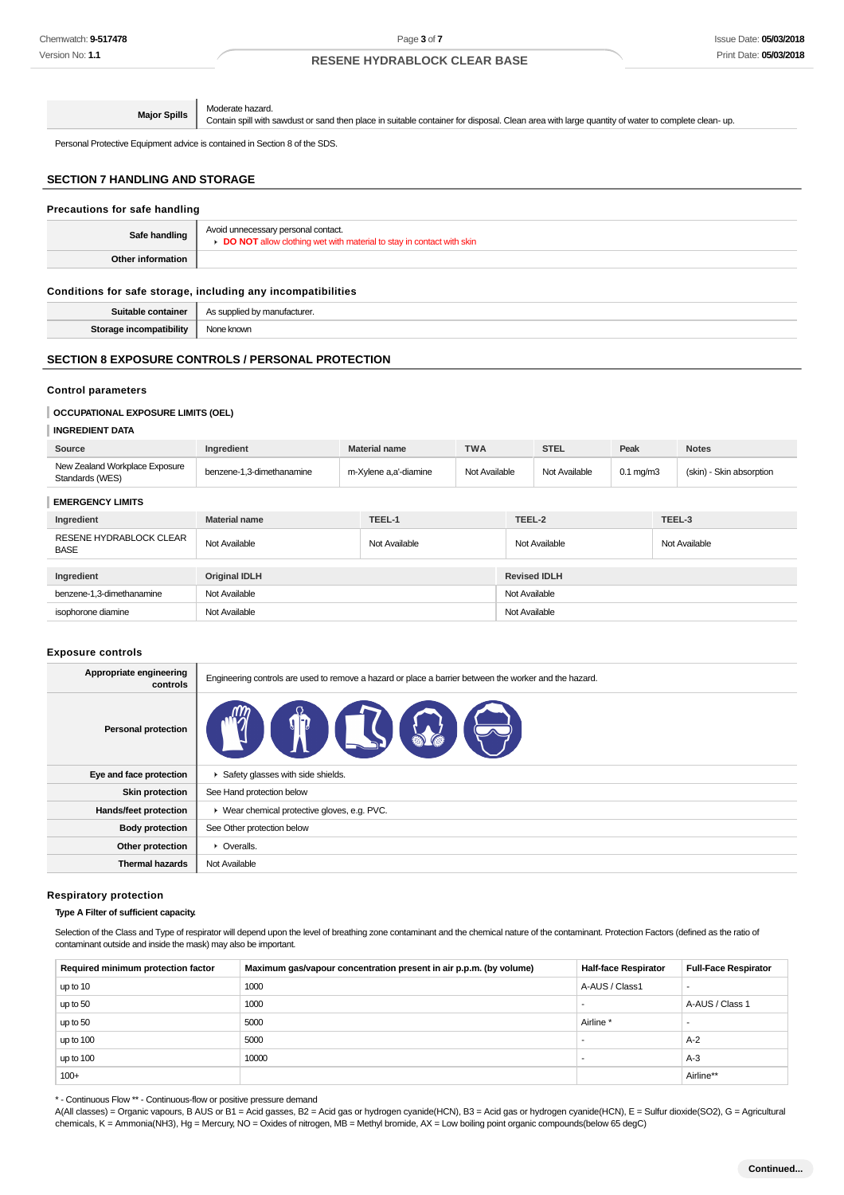**Major Spills** Moderate hazard. Contain spill with sawdust or sand then place in suitable container for disposal. Clean area with large quantity of water to complete clean- up.

Personal Protective Equipment advice is contained in Section 8 of the SDS.

# **SECTION 7 HANDLING AND STORAGE**

## **Precautions for safe handling**

| Safe handling     | Avoid unnecessary personal contact.<br><b>DO NOT</b> allow clothing wet with material to stay in contact with skin |
|-------------------|--------------------------------------------------------------------------------------------------------------------|
| Other information |                                                                                                                    |

## **Conditions for safe storage, including any incompatibilities**

**Suitable container** As supplied by manufacturer. **Storage incompatibility** None known

## **SECTION 8 EXPOSURE CONTROLS / PERSONAL PROTECTION**

#### **Control parameters**

#### **OCCUPATIONAL EXPOSURE LIMITS (OEL)**

## **INGREDIENT DATA**

| Source                                            | Ingredient                | <b>Material name</b>  | <b>TWA</b>    |               | <b>STEL</b>         | Peak                 |        | <b>Notes</b>             |
|---------------------------------------------------|---------------------------|-----------------------|---------------|---------------|---------------------|----------------------|--------|--------------------------|
| New Zealand Workplace Exposure<br>Standards (WES) | benzene-1,3-dimethanamine | m-Xylene a,a'-diamine | Not Available |               | Not Available       | $0.1 \text{ mg/m}$ 3 |        | (skin) - Skin absorption |
| <b>EMERGENCY LIMITS</b>                           |                           |                       |               |               |                     |                      |        |                          |
| Ingredient                                        | <b>Material name</b>      | TEEL-1                |               | TEEL-2        |                     |                      | TEEL-3 |                          |
| <b>RESENE HYDRABLOCK CLEAR</b><br><b>BASE</b>     | Not Available             | Not Available         |               |               | Not Available       |                      |        | Not Available            |
| Ingredient                                        | <b>Original IDLH</b>      |                       |               |               | <b>Revised IDLH</b> |                      |        |                          |
| benzene-1,3-dimethanamine                         | Not Available             |                       |               | Not Available |                     |                      |        |                          |
| isophorone diamine                                | Not Available             |                       |               | Not Available |                     |                      |        |                          |

#### **Exposure controls**

| Appropriate engineering<br>controls | Engineering controls are used to remove a hazard or place a barrier between the worker and the hazard. |
|-------------------------------------|--------------------------------------------------------------------------------------------------------|
| <b>Personal protection</b>          | 百合                                                                                                     |
| Eye and face protection             | Safety glasses with side shields.                                                                      |
| <b>Skin protection</b>              | See Hand protection below                                                                              |
| Hands/feet protection               | ▶ Wear chemical protective gloves, e.g. PVC.                                                           |
| <b>Body protection</b>              | See Other protection below                                                                             |
| Other protection                    | • Overalls.                                                                                            |
| <b>Thermal hazards</b>              | Not Available                                                                                          |

#### **Respiratory protection**

## **Type A Filter of sufficient capacity.**

Selection of the Class and Type of respirator will depend upon the level of breathing zone contaminant and the chemical nature of the contaminant. Protection Factors (defined as the ratio of contaminant outside and inside the mask) may also be important.

| Required minimum protection factor | Maximum gas/vapour concentration present in air p.p.m. (by volume) | <b>Half-face Respirator</b> | <b>Full-Face Respirator</b> |
|------------------------------------|--------------------------------------------------------------------|-----------------------------|-----------------------------|
| up to 10                           | 1000                                                               | A-AUS / Class1              |                             |
| up to 50                           | 1000                                                               |                             | A-AUS / Class 1             |
| up to 50                           | 5000                                                               | Airline <sup>'</sup>        |                             |
| up to 100                          | 5000                                                               |                             | $A-2$                       |
| up to 100                          | 10000                                                              |                             | $A-3$                       |
| $100+$                             |                                                                    |                             | Airline**                   |

\* - Continuous Flow \*\* - Continuous-flow or positive pressure demand

A(All classes) = Organic vapours, B AUS or B1 = Acid gasses, B2 = Acid gas or hydrogen cyanide(HCN), B3 = Acid gas or hydrogen cyanide(HCN), E = Sulfur dioxide(SO2), G = Agricultural chemicals, K = Ammonia(NH3), Hg = Mercury, NO = Oxides of nitrogen, MB = Methyl bromide, AX = Low boiling point organic compounds(below 65 degC)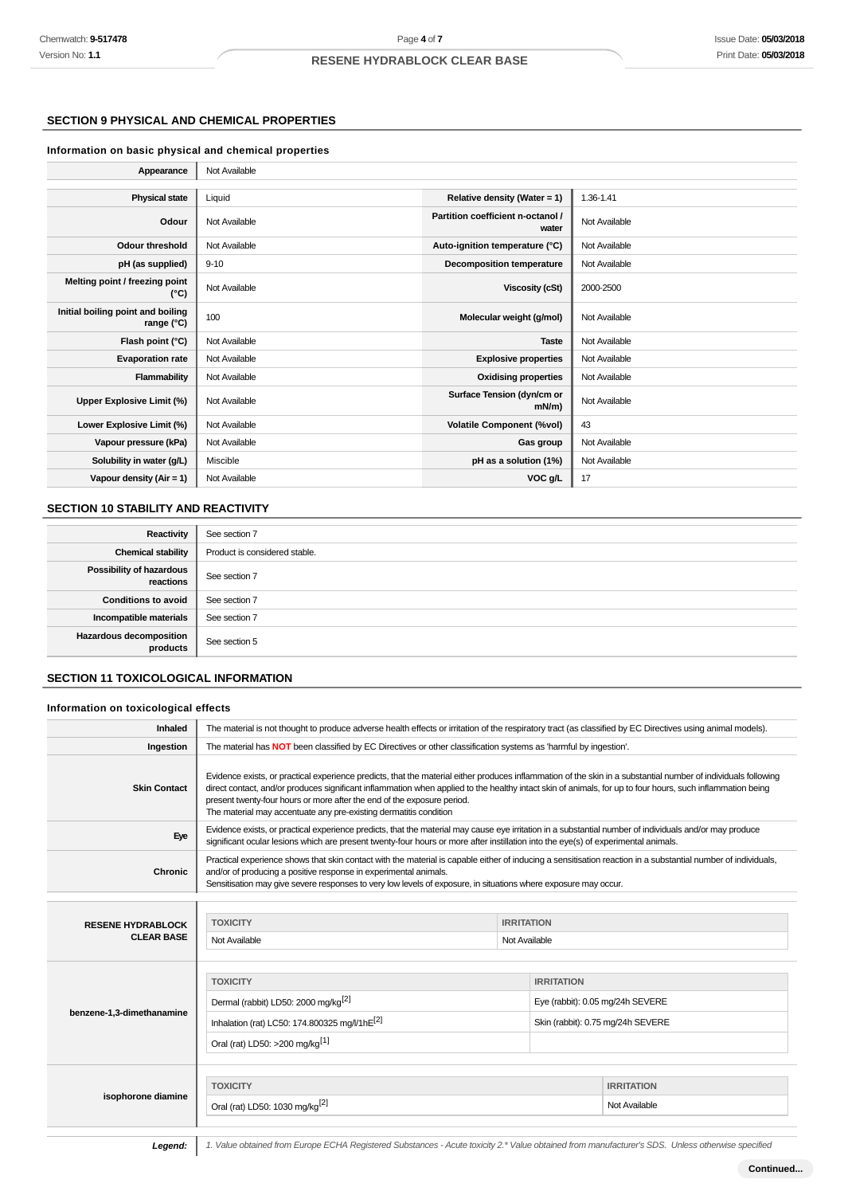## **SECTION 9 PHYSICAL AND CHEMICAL PROPERTIES**

## **Information on basic physical and chemical properties**

| Appearance                                      | Not Available |                                            |               |
|-------------------------------------------------|---------------|--------------------------------------------|---------------|
|                                                 |               |                                            |               |
| <b>Physical state</b>                           | Liquid        | Relative density (Water = 1)               | 1.36-1.41     |
| Odour                                           | Not Available | Partition coefficient n-octanol /<br>water | Not Available |
| <b>Odour threshold</b>                          | Not Available | Auto-ignition temperature (°C)             | Not Available |
| pH (as supplied)                                | $9 - 10$      | Decomposition temperature                  | Not Available |
| Melting point / freezing point<br>(°C)          | Not Available | Viscosity (cSt)                            | 2000-2500     |
| Initial boiling point and boiling<br>range (°C) | 100           | Molecular weight (g/mol)                   | Not Available |
| Flash point (°C)                                | Not Available | <b>Taste</b>                               | Not Available |
| <b>Evaporation rate</b>                         | Not Available | <b>Explosive properties</b>                | Not Available |
| Flammability                                    | Not Available | <b>Oxidising properties</b>                | Not Available |
| Upper Explosive Limit (%)                       | Not Available | Surface Tension (dyn/cm or<br>$mN/m$ )     | Not Available |
| Lower Explosive Limit (%)                       | Not Available | <b>Volatile Component (%vol)</b>           | 43            |
| Vapour pressure (kPa)                           | Not Available | Gas group                                  | Not Available |
| Solubility in water (g/L)                       | Miscible      | pH as a solution (1%)                      | Not Available |
| Vapour density $(Air = 1)$                      | Not Available | VOC g/L                                    | 17            |

# **SECTION 10 STABILITY AND REACTIVITY**

| Reactivity                                   | See section 7                 |
|----------------------------------------------|-------------------------------|
| <b>Chemical stability</b>                    | Product is considered stable. |
| <b>Possibility of hazardous</b><br>reactions | See section 7                 |
| <b>Conditions to avoid</b>                   | See section 7                 |
| Incompatible materials                       | See section 7                 |
| <b>Hazardous decomposition</b><br>products   | See section 5                 |

## **SECTION 11 TOXICOLOGICAL INFORMATION**

#### **Information on toxicological effects**

| Inhaled                   | The material is not thought to produce adverse health effects or irritation of the respiratory tract (as classified by EC Directives using animal models).                                                                                                                                                                                                                                                                                                                   |                                                                                                                         |                                   |  |
|---------------------------|------------------------------------------------------------------------------------------------------------------------------------------------------------------------------------------------------------------------------------------------------------------------------------------------------------------------------------------------------------------------------------------------------------------------------------------------------------------------------|-------------------------------------------------------------------------------------------------------------------------|-----------------------------------|--|
| Ingestion                 |                                                                                                                                                                                                                                                                                                                                                                                                                                                                              | The material has <b>NOT</b> been classified by EC Directives or other classification systems as 'harmful by ingestion'. |                                   |  |
| <b>Skin Contact</b>       | Evidence exists, or practical experience predicts, that the material either produces inflammation of the skin in a substantial number of individuals following<br>direct contact, and/or produces significant inflammation when applied to the healthy intact skin of animals, for up to four hours, such inflammation being<br>present twenty-four hours or more after the end of the exposure period.<br>The material may accentuate any pre-existing dermatitis condition |                                                                                                                         |                                   |  |
| Eye                       | Evidence exists, or practical experience predicts, that the material may cause eye irritation in a substantial number of individuals and/or may produce<br>significant ocular lesions which are present twenty-four hours or more after instillation into the eye(s) of experimental animals.                                                                                                                                                                                |                                                                                                                         |                                   |  |
| <b>Chronic</b>            | Practical experience shows that skin contact with the material is capable either of inducing a sensitisation reaction in a substantial number of individuals,<br>and/or of producing a positive response in experimental animals.<br>Sensitisation may give severe responses to very low levels of exposure, in situations where exposure may occur.                                                                                                                         |                                                                                                                         |                                   |  |
|                           |                                                                                                                                                                                                                                                                                                                                                                                                                                                                              |                                                                                                                         |                                   |  |
| <b>RESENE HYDRABLOCK</b>  | <b>TOXICITY</b>                                                                                                                                                                                                                                                                                                                                                                                                                                                              | <b>IRRITATION</b>                                                                                                       |                                   |  |
| <b>CLEAR BASE</b>         | Not Available<br>Not Available                                                                                                                                                                                                                                                                                                                                                                                                                                               |                                                                                                                         |                                   |  |
|                           |                                                                                                                                                                                                                                                                                                                                                                                                                                                                              |                                                                                                                         |                                   |  |
|                           | <b>TOXICITY</b>                                                                                                                                                                                                                                                                                                                                                                                                                                                              | <b>IRRITATION</b>                                                                                                       |                                   |  |
|                           | Dermal (rabbit) LD50: 2000 mg/kg <sup>[2]</sup>                                                                                                                                                                                                                                                                                                                                                                                                                              |                                                                                                                         | Eye (rabbit): 0.05 mg/24h SEVERE  |  |
| benzene-1,3-dimethanamine | Inhalation (rat) LC50: 174.800325 mg/l/1hE <sup>[2]</sup>                                                                                                                                                                                                                                                                                                                                                                                                                    |                                                                                                                         | Skin (rabbit): 0.75 mg/24h SEVERE |  |
|                           | Oral (rat) LD50: >200 mg/kg <sup>[1]</sup>                                                                                                                                                                                                                                                                                                                                                                                                                                   |                                                                                                                         |                                   |  |
|                           |                                                                                                                                                                                                                                                                                                                                                                                                                                                                              |                                                                                                                         |                                   |  |
| isophorone diamine        | <b>TOXICITY</b>                                                                                                                                                                                                                                                                                                                                                                                                                                                              |                                                                                                                         | <b>IRRITATION</b>                 |  |
|                           | Oral (rat) LD50: 1030 mg/kg <sup>[2]</sup>                                                                                                                                                                                                                                                                                                                                                                                                                                   |                                                                                                                         | Not Available                     |  |
|                           |                                                                                                                                                                                                                                                                                                                                                                                                                                                                              |                                                                                                                         |                                   |  |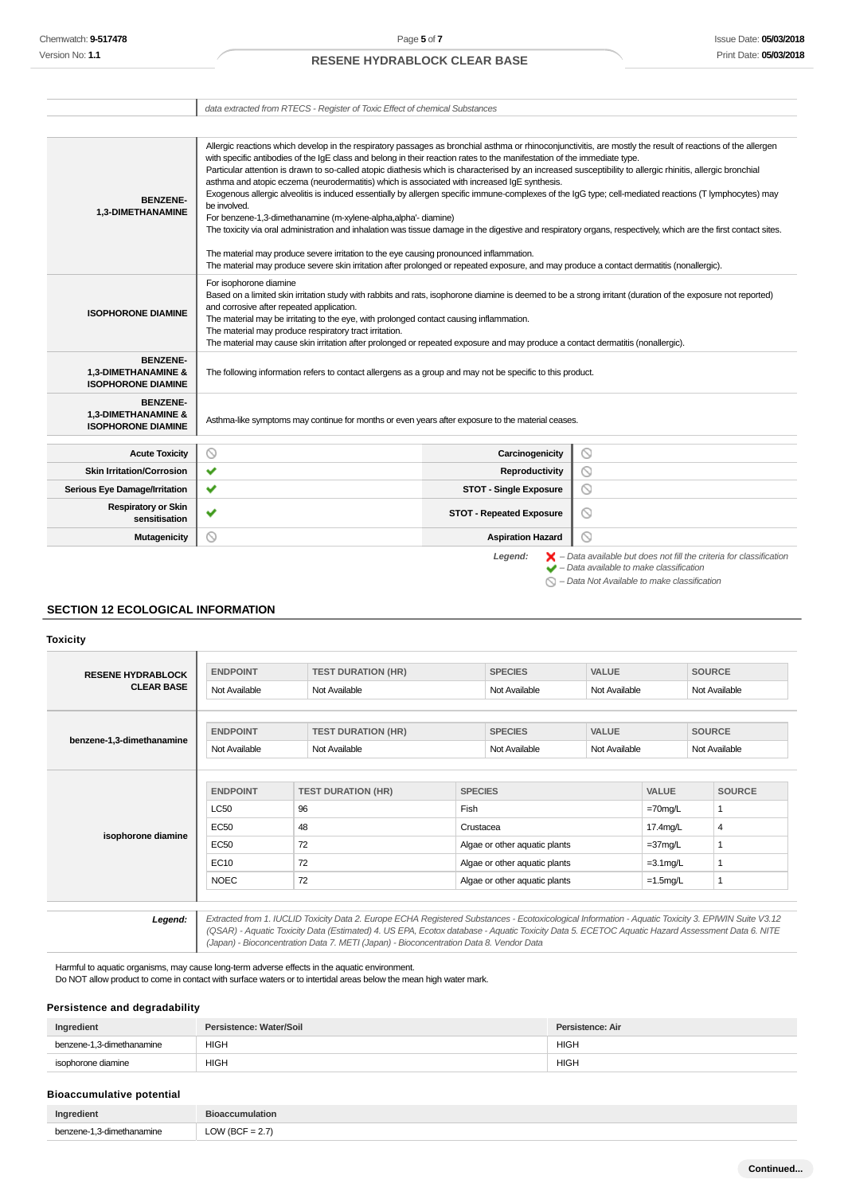data extracted from RTECS - Register of Toxic Effect of chemical Substances

| <b>BENZENE-</b><br>1,3-DIMETHANAMINE                                | Allergic reactions which develop in the respiratory passages as bronchial asthma or rhinoconjunctivitis, are mostly the result of reactions of the allergen<br>with specific antibodies of the IqE class and belong in their reaction rates to the manifestation of the immediate type.<br>Particular attention is drawn to so-called atopic diathesis which is characterised by an increased susceptibility to allergic rhinitis, allergic bronchial<br>asthma and atopic eczema (neurodermatitis) which is associated with increased IqE synthesis.<br>Exogenous allergic alveolitis is induced essentially by allergen specific immune-complexes of the IgG type; cell-mediated reactions (T lymphocytes) may<br>be involved.<br>For benzene-1,3-dimethanamine (m-xylene-alpha,alpha'- diamine)<br>The toxicity via oral administration and inhalation was tissue damage in the digestive and respiratory organs, respectively, which are the first contact sites.<br>The material may produce severe irritation to the eye causing pronounced inflammation.<br>The material may produce severe skin irritation after prolonged or repeated exposure, and may produce a contact dermatitis (nonallergic). |                                 |                                                                                                                                                                                                                     |
|---------------------------------------------------------------------|--------------------------------------------------------------------------------------------------------------------------------------------------------------------------------------------------------------------------------------------------------------------------------------------------------------------------------------------------------------------------------------------------------------------------------------------------------------------------------------------------------------------------------------------------------------------------------------------------------------------------------------------------------------------------------------------------------------------------------------------------------------------------------------------------------------------------------------------------------------------------------------------------------------------------------------------------------------------------------------------------------------------------------------------------------------------------------------------------------------------------------------------------------------------------------------------------------------|---------------------------------|---------------------------------------------------------------------------------------------------------------------------------------------------------------------------------------------------------------------|
| <b>ISOPHORONE DIAMINE</b>                                           | For isophorone diamine<br>Based on a limited skin irritation study with rabbits and rats, isophorone diamine is deemed to be a strong irritant (duration of the exposure not reported)<br>and corrosive after repeated application.<br>The material may be irritating to the eye, with prolonged contact causing inflammation.<br>The material may produce respiratory tract irritation.<br>The material may cause skin irritation after prolonged or repeated exposure and may produce a contact dermatitis (nonallergic).                                                                                                                                                                                                                                                                                                                                                                                                                                                                                                                                                                                                                                                                                  |                                 |                                                                                                                                                                                                                     |
| <b>BENZENE-</b><br>1,3-DIMETHANAMINE &<br><b>ISOPHORONE DIAMINE</b> | The following information refers to contact allergens as a group and may not be specific to this product.                                                                                                                                                                                                                                                                                                                                                                                                                                                                                                                                                                                                                                                                                                                                                                                                                                                                                                                                                                                                                                                                                                    |                                 |                                                                                                                                                                                                                     |
| <b>BENZENE-</b><br>1,3-DIMETHANAMINE &<br><b>ISOPHORONE DIAMINE</b> | Asthma-like symptoms may continue for months or even years after exposure to the material ceases.                                                                                                                                                                                                                                                                                                                                                                                                                                                                                                                                                                                                                                                                                                                                                                                                                                                                                                                                                                                                                                                                                                            |                                 |                                                                                                                                                                                                                     |
| <b>Acute Toxicity</b>                                               | $\circledcirc$                                                                                                                                                                                                                                                                                                                                                                                                                                                                                                                                                                                                                                                                                                                                                                                                                                                                                                                                                                                                                                                                                                                                                                                               | Carcinogenicity                 | $\circlearrowright$                                                                                                                                                                                                 |
| <b>Skin Irritation/Corrosion</b>                                    | ✔                                                                                                                                                                                                                                                                                                                                                                                                                                                                                                                                                                                                                                                                                                                                                                                                                                                                                                                                                                                                                                                                                                                                                                                                            | Reproductivity                  | ⊙                                                                                                                                                                                                                   |
| <b>Serious Eye Damage/Irritation</b>                                | ✔                                                                                                                                                                                                                                                                                                                                                                                                                                                                                                                                                                                                                                                                                                                                                                                                                                                                                                                                                                                                                                                                                                                                                                                                            | <b>STOT - Single Exposure</b>   | $\circledcirc$                                                                                                                                                                                                      |
| <b>Respiratory or Skin</b><br>sensitisation                         | $\checkmark$                                                                                                                                                                                                                                                                                                                                                                                                                                                                                                                                                                                                                                                                                                                                                                                                                                                                                                                                                                                                                                                                                                                                                                                                 | <b>STOT - Repeated Exposure</b> | $\odot$                                                                                                                                                                                                             |
| <b>Mutagenicity</b>                                                 | ⊚                                                                                                                                                                                                                                                                                                                                                                                                                                                                                                                                                                                                                                                                                                                                                                                                                                                                                                                                                                                                                                                                                                                                                                                                            | <b>Aspiration Hazard</b>        | ⊚                                                                                                                                                                                                                   |
|                                                                     |                                                                                                                                                                                                                                                                                                                                                                                                                                                                                                                                                                                                                                                                                                                                                                                                                                                                                                                                                                                                                                                                                                                                                                                                              | Legend:                         | $\blacktriangleright$ - Data available but does not fill the criteria for classification<br>$\blacktriangleright$ - Data available to make classification<br>$\bigcirc$ - Data Not Available to make classification |

## **SECTION 12 ECOLOGICAL INFORMATION**

**Toxicity**

| <b>RESENE HYDRABLOCK</b>  | <b>ENDPOINT</b> | <b>TEST DURATION (HR)</b><br><b>SPECIES</b> |                               | <b>VALUE</b>                   |               | <b>SOURCE</b> |               |
|---------------------------|-----------------|---------------------------------------------|-------------------------------|--------------------------------|---------------|---------------|---------------|
| <b>CLEAR BASE</b>         | Not Available   | Not Available                               |                               | Not Available                  | Not Available |               | Not Available |
|                           |                 |                                             |                               |                                |               |               |               |
| benzene-1,3-dimethanamine | <b>ENDPOINT</b> | <b>TEST DURATION (HR)</b>                   |                               | <b>VALUE</b><br><b>SPECIES</b> |               | <b>SOURCE</b> |               |
|                           | Not Available   | Not Available                               |                               | Not Available                  |               | Not Available |               |
|                           |                 |                                             |                               |                                |               |               |               |
|                           | <b>ENDPOINT</b> | <b>TEST DURATION (HR)</b>                   |                               | <b>SPECIES</b>                 |               | VALUE         | <b>SOURCE</b> |
|                           | <b>LC50</b>     | 96                                          | Fish                          |                                |               | $=70$ mg/L    | $\mathbf{1}$  |
|                           | <b>EC50</b>     | 48                                          | Crustacea                     |                                |               | 17.4mg/L      | 4             |
| isophorone diamine        | <b>EC50</b>     | 72                                          |                               | Algae or other aquatic plants  |               | $=37$ mg/L    |               |
|                           | <b>EC10</b>     | 72                                          | Algae or other aquatic plants |                                | $=3.1$ mg/L   |               |               |
|                           | <b>NOEC</b>     | 72                                          |                               | Algae or other aquatic plants  |               | $=1.5$ mg/L   | 1             |
|                           |                 |                                             |                               |                                |               |               |               |

Harmful to aquatic organisms, may cause long-term adverse effects in the aquatic environment.

Do NOT allow product to come in contact with surface waters or to intertidal areas below the mean high water mark.

## **Persistence and degradability**

| Ingredient                | Persistence: Water/Soil | Persistence: Air |
|---------------------------|-------------------------|------------------|
| benzene-1.3-dimethanamine | <b>HIGH</b>             | <b>HIGH</b>      |
| isophorone diamine        | <b>HIGH</b>             | <b>HIGH</b>      |

## **Bioaccumulative potential**

| Inar      |               |
|-----------|---------------|
| non'<br>. | ---<br>$\sim$ |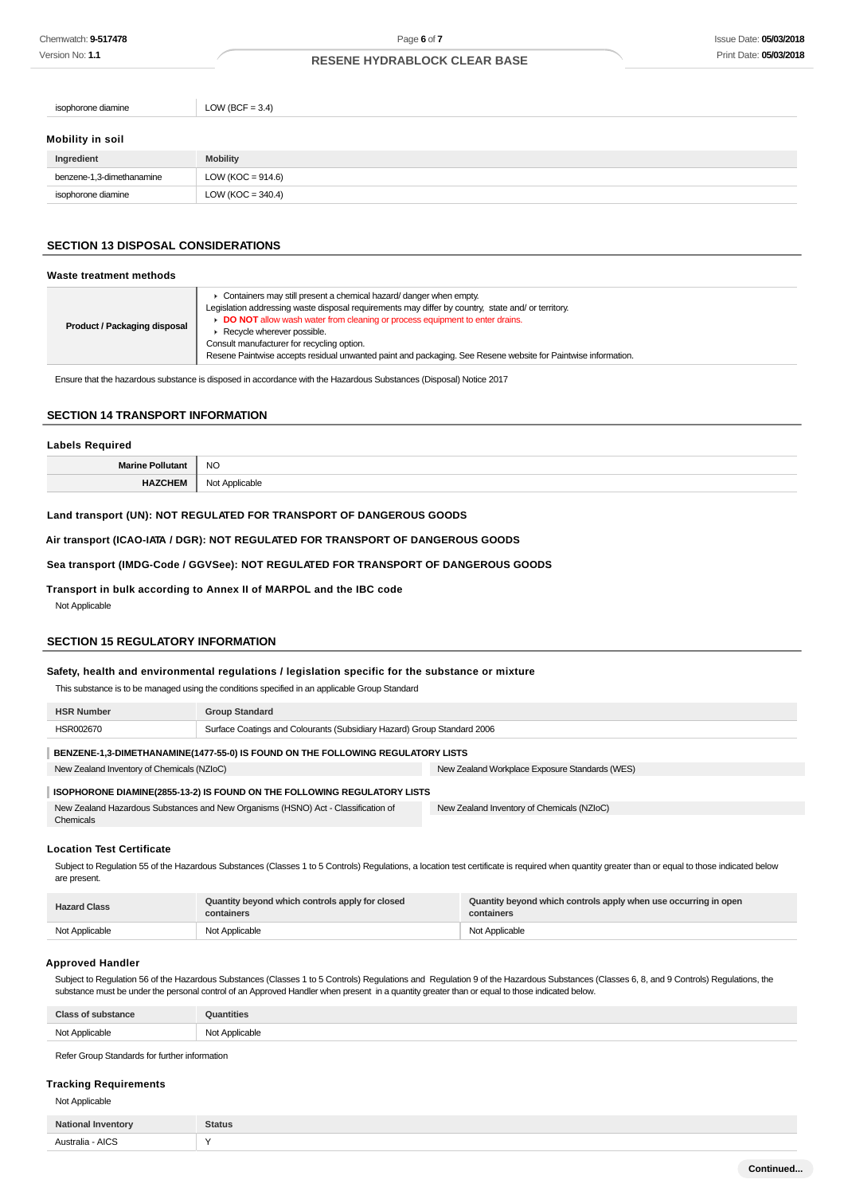| LOW (BCF = $3.4$ )    |
|-----------------------|
|                       |
|                       |
| <b>Mobility</b>       |
| LOW ( $KOC = 914.6$ ) |
| LOW ( $KOC = 340.4$ ) |
|                       |

## **SECTION 13 DISPOSAL CONSIDERATIONS**

#### **Waste treatment methods**

| Product / Packaging disposal | • Containers may still present a chemical hazard/ danger when empty.<br>Legislation addressing waste disposal requirements may differ by country, state and/ or territory.<br>DO NOT allow wash water from cleaning or process equipment to enter drains.<br>$\blacktriangleright$ Recycle wherever possible.<br>Consult manufacturer for recycling option.<br>Resene Paintwise accepts residual unwanted paint and packaging. See Resene website for Paintwise information. |
|------------------------------|------------------------------------------------------------------------------------------------------------------------------------------------------------------------------------------------------------------------------------------------------------------------------------------------------------------------------------------------------------------------------------------------------------------------------------------------------------------------------|
|------------------------------|------------------------------------------------------------------------------------------------------------------------------------------------------------------------------------------------------------------------------------------------------------------------------------------------------------------------------------------------------------------------------------------------------------------------------------------------------------------------------|

Ensure that the hazardous substance is disposed in accordance with the Hazardous Substances (Disposal) Notice 2017

## **SECTION 14 TRANSPORT INFORMATION**

# **Labels Required Marine Pollutant** NO **HAZCHEM** Not Applicable

## **Land transport (UN): NOT REGULATED FOR TRANSPORT OF DANGEROUS GOODS**

**Air transport (ICAO-IATA / DGR): NOT REGULATED FOR TRANSPORT OF DANGEROUS GOODS**

## **Sea transport (IMDG-Code / GGVSee): NOT REGULATED FOR TRANSPORT OF DANGEROUS GOODS**

**Transport in bulk according to Annex II of MARPOL and the IBC code**

Not Applicable

#### **SECTION 15 REGULATORY INFORMATION**

#### **Safety, health and environmental regulations / legislation specific for the substance or mixture**

This substance is to be managed using the conditions specified in an applicable Group Standard

| <b>HSR Number</b>                                                                 | <b>Group Standard</b>                                                   |                                                |
|-----------------------------------------------------------------------------------|-------------------------------------------------------------------------|------------------------------------------------|
| HSR002670                                                                         | Surface Coatings and Colourants (Subsidiary Hazard) Group Standard 2006 |                                                |
| BENZENE-1,3-DIMETHANAMINE(1477-55-0) IS FOUND ON THE FOLLOWING REGULATORY LISTS   |                                                                         |                                                |
| New Zealand Inventory of Chemicals (NZIoC)                                        |                                                                         | New Zealand Workplace Exposure Standards (WES) |
| ISOPHORONE DIAMINE(2855-13-2) IS FOUND ON THE FOLLOWING REGULATORY LISTS          |                                                                         |                                                |
| New Zealand Hazardous Substances and New Organisms (HSNO) Act - Classification of |                                                                         | New Zealand Inventory of Chemicals (NZIoC)     |

#### **Location Test Certificate**

Chemicals

Subject to Regulation 55 of the Hazardous Substances (Classes 1 to 5 Controls) Regulations, a location test certificate is required when quantity greater than or equal to those indicated below are present.

| <b>Hazard Class</b> | Quantity beyond which controls apply for closed<br>containers | Quantity beyond which controls apply when use occurring in open<br>containers |
|---------------------|---------------------------------------------------------------|-------------------------------------------------------------------------------|
| Not Applicable      | Not Applicable                                                | Not Applicable                                                                |

#### **Approved Handler**

Subject to Regulation 56 of the Hazardous Substances (Classes 1 to 5 Controls) Regulations and Regulation 9 of the Hazardous Substances (Classes 6, 8, and 9 Controls) Regulations, the substance must be under the personal control of an Approved Handler when present in a quantity greater than or equal to those indicated below.

| <b>Class of substance</b> | Quantities     |
|---------------------------|----------------|
| Not Applicable            | Not Applicable |

Refer Group Standards for further information

#### **Tracking Requirements**

Not Applicable

| <b>Natio</b><br>inventor | <b>Status</b> |
|--------------------------|---------------|
| Australia - AICS         |               |